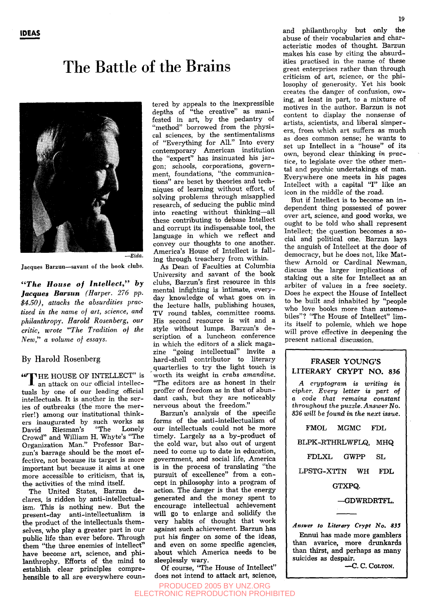## The Battle of the Brains



Jacques Barzun—savant of the book clubs.

*"The House of Intellect," by Jacques Barsun (Harper. 276 pp. \$4.50), attacks the absurdities practised in the name of art, science, and philanthropy. Harold Rosenberg, our critic, wrote "The Tradition of the New," a volume of essays.* 

### By Harold Rosenberg

«'T'HE HOUSE OF INTELLECT" is I an attack on our official intellectuals by one of our leading official intellectuals. It is another in the series of outbreaks (the more the merrier!) among our institutional thinkers inaugurated by such works as<br>David Riesman's "The Lonely David Riesman's Crowd" and William H. Whyte's "The Organization Man." Professor Barzun's barrage should be the most effective, not because its target is more important but because it aims at one more accessible to criticism, that is, the activities of the mind itself.

The United States, Barzun declares, is ridden by anti-intellectualism. This is nothing new. But the present-day anti-intellectualism is the product of the intellectuals themselves, who play a greater part in our public life than ever before. Through them "the three enemies of intellect" have become art, science, and philanthrophy. Efforts of the mind to establish clear principles comprehensible to all are everywhere countered by appeals to the inexpressible depths of "the creative" as manifested in art, by the pedantry of "method" borrowed from the physical sciences, by the sentimentalisms of "Everything for All." Into every contemporary American institution the "expert" has insinuated his jargon; schools, corporations, government, foundations, "the communications" are beset by theories and techniques of learning without effort, of solving problems through misapplied research, of seducing the public mind into reacting without thinking—all these contributing to debase Intellect and corrupt its indispensable tool, the language in which we reflect and convey our thoughts to one another. America's House of Intellect is falling through treachery from within.

As Dean of Faculties at Columbia University and savant of the book clubs, Barzun's first resource in this mental infighting is intimate, everyday knowledge of what goes on in the lecture halls, publishing houses, TV round tables, committee rooms. His second resource is wit and a style without lumps. Barzun's de scription of a luncheon conference in which the editors of a slick magazine "going intellectual" invite a hard-shell contributor to literary quarterlies to try the light touch is worth its weight in *crabs amandine.*  "The editors are as honest in their proffer of freedom as in that of abundant cash, but they are noticeably nervous about the freedom.'

Barzun's analysis of the specific forms of the anti-intellectualism of our intellectuals could not be more timely. Largely as a by-product of the cold war, but also out of urgent need to come up to date in education, government, and social life, America is in the process of translating "the pursuit of excellence" from a concept in philosophy into a program of action. The danger is that the energy generated and the money spent to encourage intellectual achievement will go to enlarge and solidify the very habits of thought that work against such achievement. Barzun has put his finger on some of the ideas, and even on some specific agencies, about which America needs to be sleeplessly wary.

Of course, "The House of Intellect" does not intend to attack art, science, and philanthrophy but only the abuse of their vocabularies and characteristic modes of thought. Barzun makes his case by citing the absurdities practised in the name of these great enterprises rather than through criticism of art, science, or the philosophy of generosity. Yet his book creates the danger of confusion, owing, at least in part, to a mixture of motives in the author. Barzun is not content to display the nonsense of artists, scientists, and liberal simperers, from which art suffers as much as does common sense; he wants to set up Intellect in a "house" of its own, beyond clear thinking *in practice,* to legislate over the other mental and psychic undertakings of man. Everywhere one meets in his pages Intellect with a capital "I" like an icon in the middle of the road.

But if Intellect is to become an independent thing possessed of power over art, science, and good works, we ought to be told who shall represent Intellect; the question becomes a social and political one. Barzun lays the anguish of Intellect at the door of democracy, but he does not, like Matthew Arnold or Cardinal Newman, discuss the larger implications of staking out a site for Intellect as an arbiter of values in a free society. Does he expect the House of Intellect to be built and inhabited by "people who love books more than automobiles"? "The House of Intellect" limits itself to polemic, which we hope will prove effective in deepening the present national discussion.

### FRASER YOUNG'S LITERARY CRYPT NO. 836

*A cryptogram is writing in cipher. Every letter is part of a code that remains constant throughout the puzzle. Answer No. 836 will be found in the next issue.* 

FMOL MGMC FDL BLPK-RTHRLWFLQ, MHQ FDLXL GWPP SL LPSTG-XTTN WH FDL GTXPQ. —GDWRDRTFL.

*Answer to Literary Crypt No. 835*  Ennui has made more gamblers than avarice, more drunkards than thirst, and perhaps as many suicides as despair.

-C.C. COLTON.

PRODUCED 2005 BY UNZ.ORG ELECTRONIC REPRODUCTION PROHIBITED